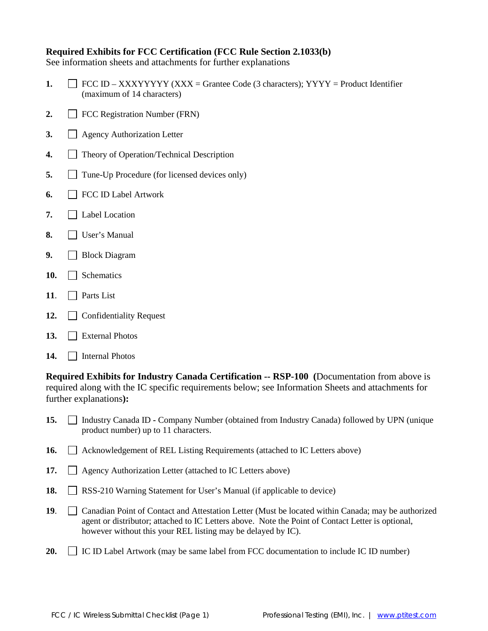#### **Required Exhibits for FCC Certification (FCC Rule Section 2.1033(b)**

See information sheets and attachments for further explanations

- **1.**  $\Box$  FCC ID XXXYYYYY (XXX = Grantee Code (3 characters); YYYY = Product Identifier (maximum of 14 characters)
- 2. **FCC Registration Number (FRN)**
- **3.** Agency Authorization Letter
- **4.** Theory of Operation/Technical Description
- **5.** Tune-Up Procedure (for licensed devices only)
- **6.** FCC ID Label Artwork
- **7.** Label Location
- **8.** User's Manual
- **9.** Block Diagram
- 10. Schematics
- **11**. Parts List
- 12. Confidentiality Request
- **13.** External Photos
- 14. **Internal Photos**

**Required Exhibits for Industry Canada Certification -- RSP-100 (**Documentation from above is required along with the IC specific requirements below; see Information Sheets and attachments for further explanations**):**

- 15.  $\Box$  Industry Canada ID **-** Company Number (obtained from Industry Canada) followed by UPN (unique product number) up to 11 characters.
- **16.**  $\Box$  Acknowledgement of REL Listing Requirements (attached to IC Letters above)
- 17. **Agency Authorization Letter (attached to IC Letters above)**
- 18. **RSS-210 Warning Statement for User's Manual (if applicable to device)**
- **19.** Canadian Point of Contact and Attestation Letter (Must be located within Canada; may be authorized agent or distributor; attached to IC Letters above. Note the Point of Contact Letter is optional, however without this your REL listing may be delayed by IC).
- **20.** IC ID Label Artwork (may be same label from FCC documentation to include IC ID number)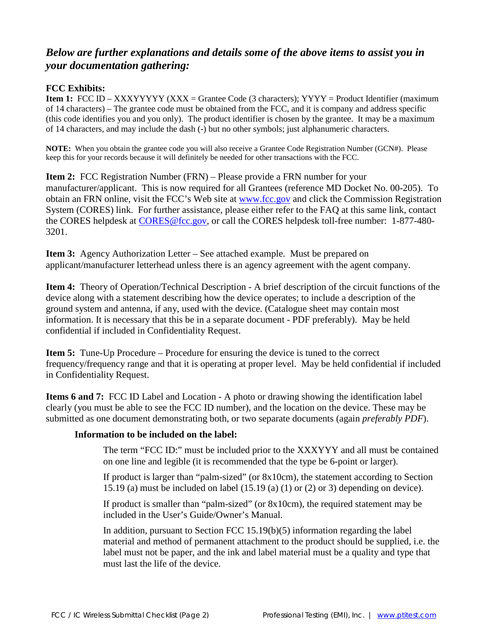# *Below are further explanations and details some of the above items to assist you in your documentation gathering:*

## **FCC Exhibits:**

**Item 1:** FCC ID – XXXYYYYY (XXX = Grantee Code (3 characters); YYYY = Product Identifier (maximum of 14 characters) – The grantee code must be obtained from the FCC, and it is company and address specific (this code identifies you and you only). The product identifier is chosen by the grantee. It may be a maximum of 14 characters, and may include the dash (-) but no other symbols; just alphanumeric characters.

**NOTE:** When you obtain the grantee code you will also receive a Grantee Code Registration Number (GCN#). Please keep this for your records because it will definitely be needed for other transactions with the FCC.

**Item 2:** FCC Registration Number (FRN) – Please provide a FRN number for your manufacturer/applicant. This is now required for all Grantees (reference MD Docket No. 00-205). To obtain an FRN online, visit the FCC's Web site at [www.fcc.gov](http://www.fcc.gov/) and click the Commission Registration System (CORES) link. For further assistance, please either refer to the FAQ at this same link, contact the CORES helpdesk at [CORES@fcc.gov,](mailto:CORES@fcc.gov) or call the CORES helpdesk toll-free number: 1-877-480- 3201.

**Item 3:** Agency Authorization Letter – See attached example. Must be prepared on applicant/manufacturer letterhead unless there is an agency agreement with the agent company.

**Item 4:** Theory of Operation/Technical Description - A brief description of the circuit functions of the device along with a statement describing how the device operates; to include a description of the ground system and antenna, if any, used with the device. (Catalogue sheet may contain most information. It is necessary that this be in a separate document - PDF preferably). May be held confidential if included in Confidentiality Request.

**Item 5:** Tune-Up Procedure – Procedure for ensuring the device is tuned to the correct frequency/frequency range and that it is operating at proper level. May be held confidential if included in Confidentiality Request.

**Items 6 and 7:** FCC ID Label and Location - A photo or drawing showing the identification label clearly (you must be able to see the FCC ID number), and the location on the device. These may be submitted as one document demonstrating both, or two separate documents (again *preferably PDF*).

#### **Information to be included on the label:**

The term "FCC ID:" must be included prior to the XXXYYY and all must be contained on one line and legible (it is recommended that the type be 6-point or larger).

If product is larger than "palm-sized" (or 8x10cm), the statement according to Section 15.19 (a) must be included on label (15.19 (a) (1) or (2) or 3) depending on device).

If product is smaller than "palm-sized" (or 8x10cm), the required statement may be included in the User's Guide/Owner's Manual.

In addition, pursuant to Section FCC 15.19(b)(5) information regarding the label material and method of permanent attachment to the product should be supplied, i.e. the label must not be paper, and the ink and label material must be a quality and type that must last the life of the device.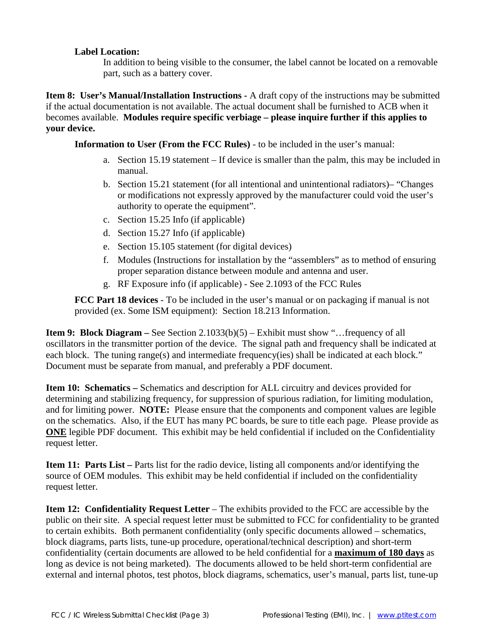#### **Label Location:**

In addition to being visible to the consumer, the label cannot be located on a removable part, such as a battery cover.

**Item 8: User's Manual/Installation Instructions -** A draft copy of the instructions may be submitted if the actual documentation is not available. The actual document shall be furnished to ACB when it becomes available. **Modules require specific verbiage – please inquire further if this applies to your device.**

**Information to User (From the FCC Rules)** - to be included in the user's manual:

- a. Section 15.19 statement If device is smaller than the palm, this may be included in manual.
- b. Section 15.21 statement (for all intentional and unintentional radiators)– "Changes or modifications not expressly approved by the manufacturer could void the user's authority to operate the equipment".
- c. Section 15.25 Info (if applicable)
- d. Section 15.27 Info (if applicable)
- e. Section 15.105 statement (for digital devices)
- f. Modules (Instructions for installation by the "assemblers" as to method of ensuring proper separation distance between module and antenna and user.
- g. RF Exposure info (if applicable) See 2.1093 of the FCC Rules

**FCC Part 18 devices** - To be included in the user's manual or on packaging if manual is not provided (ex. Some ISM equipment): Section 18.213 Information.

**Item 9: Block Diagram** – See Section 2.1033(b)(5) – Exhibit must show "…frequency of all oscillators in the transmitter portion of the device. The signal path and frequency shall be indicated at each block. The tuning range(s) and intermediate frequency(ies) shall be indicated at each block." Document must be separate from manual, and preferably a PDF document.

**Item 10: Schematics –** Schematics and description for ALL circuitry and devices provided for determining and stabilizing frequency, for suppression of spurious radiation, for limiting modulation, and for limiting power. **NOTE:** Please ensure that the components and component values are legible on the schematics. Also, if the EUT has many PC boards, be sure to title each page. Please provide as **ONE** legible PDF document. This exhibit may be held confidential if included on the Confidentiality request letter.

**Item 11: Parts List –** Parts list for the radio device, listing all components and/or identifying the source of OEM modules. This exhibit may be held confidential if included on the confidentiality request letter.

**Item 12: Confidentiality Request Letter** – The exhibits provided to the FCC are accessible by the public on their site. A special request letter must be submitted to FCC for confidentiality to be granted to certain exhibits. Both permanent confidentiality (only specific documents allowed – schematics, block diagrams, parts lists, tune-up procedure, operational/technical description) and short-term confidentiality (certain documents are allowed to be held confidential for a **maximum of 180 days** as long as device is not being marketed). The documents allowed to be held short-term confidential are external and internal photos, test photos, block diagrams, schematics, user's manual, parts list, tune-up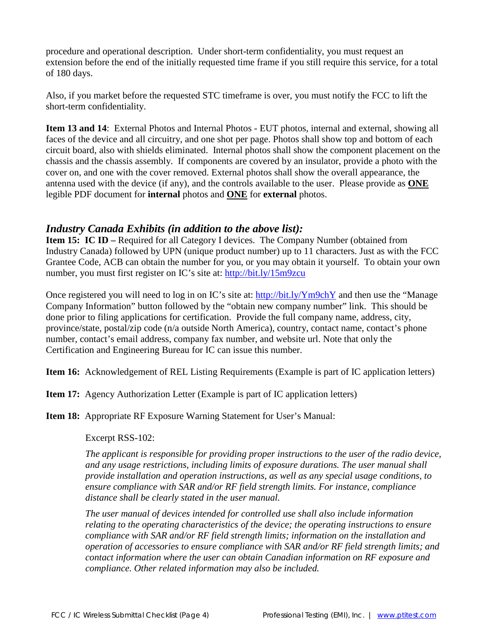procedure and operational description. Under short-term confidentiality, you must request an extension before the end of the initially requested time frame if you still require this service, for a total of 180 days.

Also, if you market before the requested STC timeframe is over, you must notify the FCC to lift the short-term confidentiality.

**Item 13 and 14**: External Photos and Internal Photos - EUT photos, internal and external, showing all faces of the device and all circuitry, and one shot per page. Photos shall show top and bottom of each circuit board, also with shields eliminated. Internal photos shall show the component placement on the chassis and the chassis assembly. If components are covered by an insulator, provide a photo with the cover on, and one with the cover removed. External photos shall show the overall appearance, the antenna used with the device (if any), and the controls available to the user. Please provide as **ONE** legible PDF document for **internal** photos and **ONE** for **external** photos.

## *Industry Canada Exhibits (in addition to the above list):*

**Item 15: IC ID** – Required for all Category I devices. The Company Number (obtained from Industry Canada) followed by UPN (unique product number) up to 11 characters. Just as with the FCC Grantee Code, ACB can obtain the number for you, or you may obtain it yourself. To obtain your own number, you must first register on IC's site at: <http://bit.ly/15m9zcu>

Once registered you will need to log in on IC's site at: <http://bit.ly/Ym9chY> and then use the "Manage" Company Information" button followed by the "obtain new company number" link. This should be done prior to filing applications for certification. Provide the full company name, address, city, province/state, postal/zip code (n/a outside North America), country, contact name, contact's phone number, contact's email address, company fax number, and website url. Note that only the Certification and Engineering Bureau for IC can issue this number.

**Item 16:** Acknowledgement of REL Listing Requirements (Example is part of IC application letters)

**Item 17:** Agency Authorization Letter (Example is part of IC application letters)

**Item 18:** Appropriate RF Exposure Warning Statement for User's Manual:

Excerpt RSS-102:

*The applicant is responsible for providing proper instructions to the user of the radio device, and any usage restrictions, including limits of exposure durations. The user manual shall provide installation and operation instructions, as well as any special usage conditions, to ensure compliance with SAR and/or RF field strength limits. For instance, compliance distance shall be clearly stated in the user manual.* 

*The user manual of devices intended for controlled use shall also include information relating to the operating characteristics of the device; the operating instructions to ensure compliance with SAR and/or RF field strength limits; information on the installation and operation of accessories to ensure compliance with SAR and/or RF field strength limits; and contact information where the user can obtain Canadian information on RF exposure and compliance. Other related information may also be included.*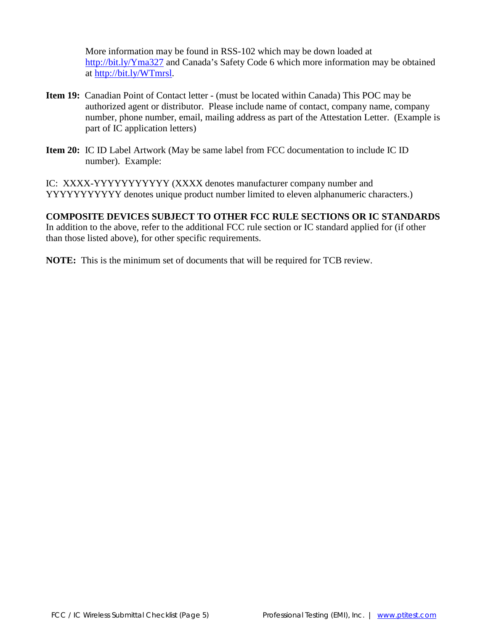More information may be found in RSS-102 which may be down loaded at <http://bit.ly/Yma327> and Canada's Safety Code 6 which more information may be obtained at [http://bit.ly/WTmrsl.](http://bit.ly/WTmrsl)

- **Item 19:** Canadian Point of Contact letter (must be located within Canada) This POC may be authorized agent or distributor. Please include name of contact, company name, company number, phone number, email, mailing address as part of the Attestation Letter. (Example is part of IC application letters)
- **Item 20:** IC ID Label Artwork (May be same label from FCC documentation to include IC ID number). Example:

IC: XXXX-YYYYYYYYYYY (XXXX denotes manufacturer company number and YYYYYYYYYYY denotes unique product number limited to eleven alphanumeric characters.)

## **COMPOSITE DEVICES SUBJECT TO OTHER FCC RULE SECTIONS OR IC STANDARDS**

In addition to the above, refer to the additional FCC rule section or IC standard applied for (if other than those listed above), for other specific requirements.

**NOTE:** This is the minimum set of documents that will be required for TCB review.